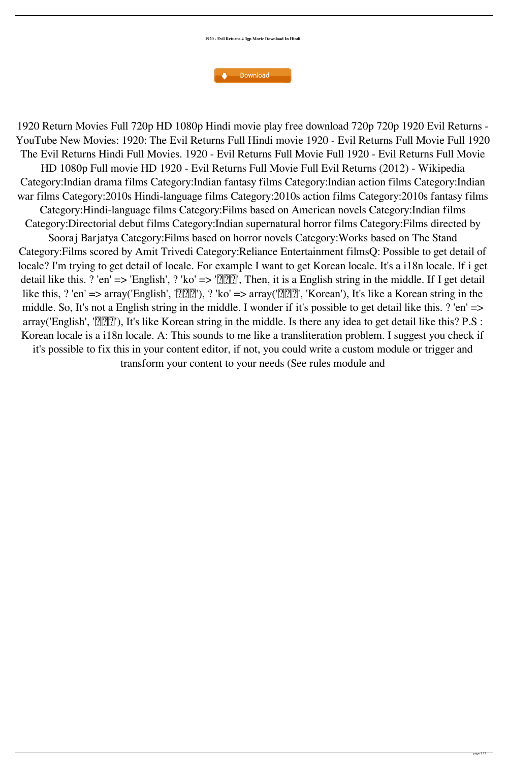**1920 - Evil Returns 4 3gp Movie Download In Hindi**



1920 Return Movies Full 720p HD 1080p Hindi movie play free download 720p 720p 1920 Evil Returns - YouTube New Movies: 1920: The Evil Returns Full Hindi movie 1920 - Evil Returns Full Movie Full 1920 The Evil Returns Hindi Full Movies. 1920 - Evil Returns Full Movie Full 1920 - Evil Returns Full Movie HD 1080p Full movie HD 1920 - Evil Returns Full Movie Full Evil Returns (2012) - Wikipedia Category:Indian drama films Category:Indian fantasy films Category:Indian action films Category:Indian war films Category:2010s Hindi-language films Category:2010s action films Category:2010s fantasy films Category:Hindi-language films Category:Films based on American novels Category:Indian films Category:Directorial debut films Category:Indian supernatural horror films Category:Films directed by Sooraj Barjatya Category:Films based on horror novels Category:Works based on The Stand Category:Films scored by Amit Trivedi Category:Reliance Entertainment filmsQ: Possible to get detail of locale? I'm trying to get detail of locale. For example I want to get Korean locale. It's a i18n locale. If i get detail like this. ? 'en'  $\Rightarrow$  'English', ? 'ko'  $\Rightarrow$  ' $\boxed{?}$  $\boxed{?}$ ', Then, it is a English string in the middle. If I get detail like this, ? 'en'  $\Rightarrow$  array('English', ' $\sqrt{2|2|}$ '), ? 'ko'  $\Rightarrow$  array(' $\sqrt{2|2|}$ ''), 'Korean'), It's like a Korean string in the middle. So, It's not a English string in the middle. I wonder if it's possible to get detail like this. ? 'en' => array('English', ' $\sqrt{2|2|}$ '), It's like Korean string in the middle. Is there any idea to get detail like this? P.S : Korean locale is a i18n locale. A: This sounds to me like a transliteration problem. I suggest you check if it's possible to fix this in your content editor, if not, you could write a custom module or trigger and transform your content to your needs (See rules module and